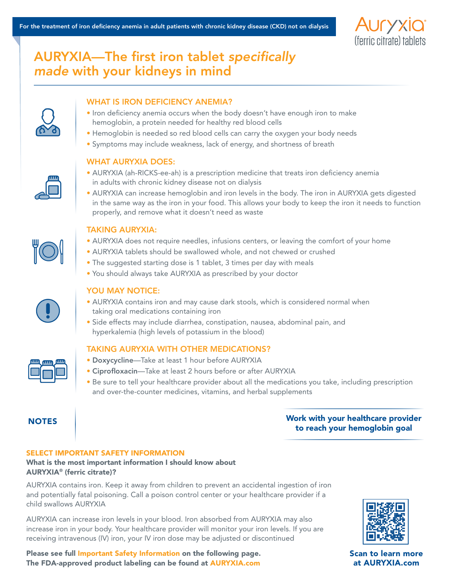

# AURYXIA—The first iron tablet *specifically made* with your kidneys in mind

# WHAT IS IRON DEFICIENCY ANEMIA?

- Iron deficiency anemia occurs when the body doesn't have enough iron to make hemoglobin, a protein needed for healthy red blood cells
- Hemoglobin is needed so red blood cells can carry the oxygen your body needs
- Symptoms may include weakness, lack of energy, and shortness of breath

# WHAT AURYXIA DOES:

- AURYXIA (ah-RICKS-ee-ah) is a prescription medicine that treats iron deficiency anemia in adults with chronic kidney disease not on dialysis
- AURYXIA can increase hemoglobin and iron levels in the body. The iron in AURYXIA gets digested in the same way as the iron in your food. This allows your body to keep the iron it needs to function properly, and remove what it doesn't need as waste



### TAKING AURYXIA:

- AURYXIA does not require needles, infusions centers, or leaving the comfort of your home
- AURYXIA tablets should be swallowed whole, and not chewed or crushed
- The suggested starting dose is 1 tablet, 3 times per day with meals
- You should always take AURYXIA as prescribed by your doctor



# YOU MAY NOTICE:

- AURYXIA contains iron and may cause dark stools, which is considered normal when taking oral medications containing iron
- Side effects may include diarrhea, constipation, nausea, abdominal pain, and hyperkalemia (high levels of potassium in the blood)

# TAKING AURYXIA WITH OTHER MEDICATIONS?

- Doxycycline—Take at least 1 hour before AURYXIA
- Ciprofloxacin—Take at least 2 hours before or after AURYXIA
- Be sure to tell your healthcare provider about all the medications you take, including prescription and over-the-counter medicines, vitamins, and herbal supplements

# NOTES NOTES 2008 2012 12:00 North your healthcare provider to reach your hemoglobin goal

# SELECT IMPORTANT SAFETY INFORMATION

# What is the most important information I should know about AURYXIA® (ferric citrate)?

AURYXIA contains iron. Keep it away from children to prevent an accidental ingestion of iron and potentially fatal poisoning. Call a poison control center or your healthcare provider if a child swallows AURYXIA

AURYXIA can increase iron levels in your blood. Iron absorbed from AURYXIA may also increase iron in your body. Your healthcare provider will monitor your iron levels. If you are receiving intravenous (IV) iron, your IV iron dose may be adjusted or discontinued

Please see full [Important Safety Information](https://www.auryxia.com/#isi) on the following page. The FDA-approved product labeling can be found at [AURYXIA.com](https://www.auryxia.com/)



Scan to learn more at AURYXIA.com